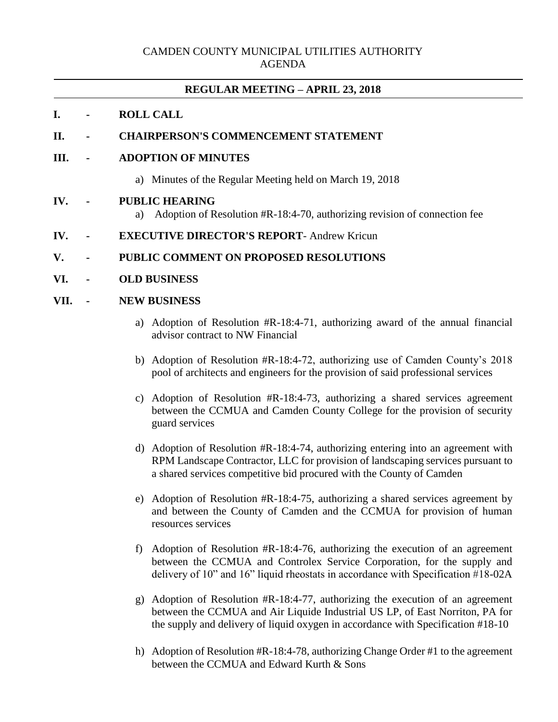## CAMDEN COUNTY MUNICIPAL UTILITIES AUTHORITY AGENDA

# **REGULAR MEETING – APRIL 23, 2018**

## **I. - ROLL CALL**

# **II. - CHAIRPERSON'S COMMENCEMENT STATEMENT**

#### **III. - ADOPTION OF MINUTES**

a) Minutes of the Regular Meeting held on March 19, 2018

#### **IV. - PUBLIC HEARING**

a) Adoption of Resolution #R-18:4-70, authorizing revision of connection fee

#### **IV. - EXECUTIVE DIRECTOR'S REPORT**- Andrew Kricun

## **V. - PUBLIC COMMENT ON PROPOSED RESOLUTIONS**

#### **VI. - OLD BUSINESS**

## **VII. - NEW BUSINESS**

- a) Adoption of Resolution #R-18:4-71, authorizing award of the annual financial advisor contract to NW Financial
- b) Adoption of Resolution #R-18:4-72, authorizing use of Camden County's 2018 pool of architects and engineers for the provision of said professional services
- c) Adoption of Resolution #R-18:4-73, authorizing a shared services agreement between the CCMUA and Camden County College for the provision of security guard services
- d) Adoption of Resolution #R-18:4-74, authorizing entering into an agreement with RPM Landscape Contractor, LLC for provision of landscaping services pursuant to a shared services competitive bid procured with the County of Camden
- e) Adoption of Resolution #R-18:4-75, authorizing a shared services agreement by and between the County of Camden and the CCMUA for provision of human resources services
- f) Adoption of Resolution #R-18:4-76, authorizing the execution of an agreement between the CCMUA and Controlex Service Corporation, for the supply and delivery of 10" and 16" liquid rheostats in accordance with Specification #18-02A
- g) Adoption of Resolution #R-18:4-77, authorizing the execution of an agreement between the CCMUA and Air Liquide Industrial US LP, of East Norriton, PA for the supply and delivery of liquid oxygen in accordance with Specification #18-10
- h) Adoption of Resolution #R-18:4-78, authorizing Change Order #1 to the agreement between the CCMUA and Edward Kurth & Sons